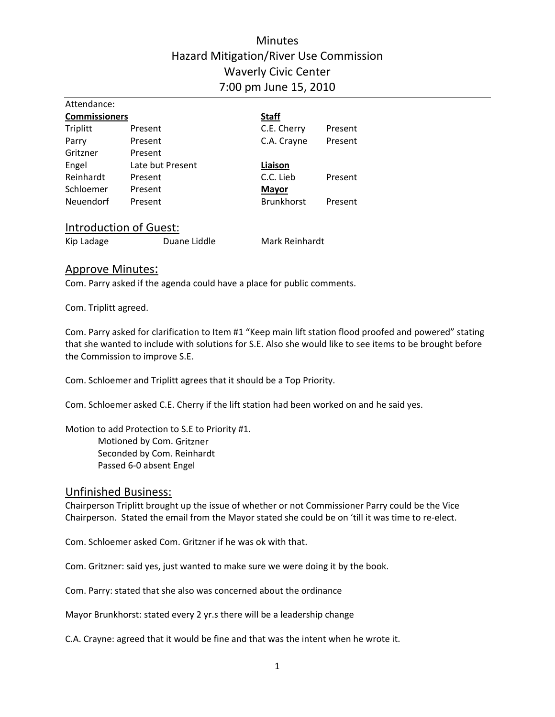# **Minutes** Hazard Mitigation/River Use Commission Waverly Civic Center 7:00 pm June 15, 2010

| Attendance:          |                        |                   |         |
|----------------------|------------------------|-------------------|---------|
| <b>Commissioners</b> |                        | <b>Staff</b>      |         |
| Triplitt             | Present                | C.E. Cherry       | Present |
| Parry                | Present                | C.A. Crayne       | Present |
| Gritzner             | Present                |                   |         |
| Engel                | Late but Present       | Liaison           |         |
| Reinhardt            | Present                | C.C. Lieb         | Present |
| Schloemer            | Present                | <b>Mayor</b>      |         |
| Neuendorf            | Present                | <b>Brunkhorst</b> | Present |
|                      |                        |                   |         |
|                      | Introduction of Guest: |                   |         |

Kip Ladage **State Communist Communist Communist Communist Communist Communist Communist Communist Communist Communist Communist Communist Communist Communist Communist Communist Communist Communist Communist Communist Comm** 

#### Approve Minutes:

Com. Parry asked if the agenda could have a place for public comments.

Com. Triplitt agreed.

Com. Parry asked for clarification to Item #1 "Keep main lift station flood proofed and powered" stating that she wanted to include with solutions for S.E. Also she would like to see items to be brought before the Commission to improve S.E.

Com. Schloemer and Triplitt agrees that it should be a Top Priority.

Com. Schloemer asked C.E. Cherry if the lift station had been worked on and he said yes.

Motion to add Protection to S.E to Priority #1. Motioned by Com. Gritzner Seconded by Com. Reinhardt Passed 6‐0 absent Engel

## Unfinished Business:

Chairperson Triplitt brought up the issue of whether or not Commissioner Parry could be the Vice Chairperson. Stated the email from the Mayor stated she could be on 'till it was time to re‐elect.

Com. Schloemer asked Com. Gritzner if he was ok with that.

Com. Gritzner: said yes, just wanted to make sure we were doing it by the book.

Com. Parry: stated that she also was concerned about the ordinance

Mayor Brunkhorst: stated every 2 yr.s there will be a leadership change

C.A. Crayne: agreed that it would be fine and that was the intent when he wrote it.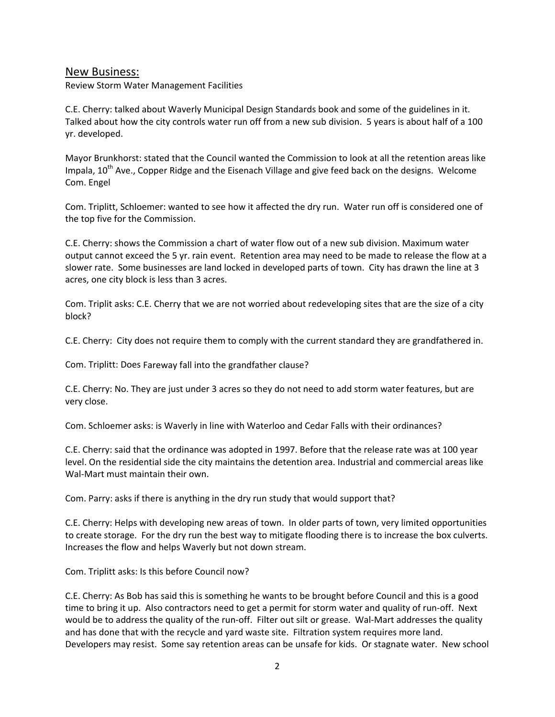#### New Business:

Review Storm Water Management Facilities

C.E. Cherry: talked about Waverly Municipal Design Standards book and some of the guidelines in it. Talked about how the city controls water run off from a new sub division. 5 years is about half of a 100 yr. developed.

Mayor Brunkhorst: stated that the Council wanted the Commission to look at all the retention areas like Impala,  $10^{th}$  Ave., Copper Ridge and the Eisenach Village and give feed back on the designs. Welcome Com. Engel

Com. Triplitt, Schloemer: wanted to see how it affected the dry run. Water run off is considered one of the top five for the Commission.

C.E. Cherry: shows the Commission a chart of water flow out of a new sub division. Maximum water output cannot exceed the 5 yr. rain event. Retention area may need to be made to release the flow at a slower rate. Some businesses are land locked in developed parts of town. City has drawn the line at 3 acres, one city block is less than 3 acres.

Com. Triplit asks: C.E. Cherry that we are not worried about redeveloping sites that are the size of a city block?

C.E. Cherry: City does not require them to comply with the current standard they are grandfathered in.

Com. Triplitt: Does Fareway fall into the grandfather clause?

C.E. Cherry: No. They are just under 3 acres so they do not need to add storm water features, but are very close.

Com. Schloemer asks: is Waverly in line with Waterloo and Cedar Falls with their ordinances?

C.E. Cherry: said that the ordinance was adopted in 1997. Before that the release rate was at 100 year level. On the residential side the city maintains the detention area. Industrial and commercial areas like Wal-Mart must maintain their own.

Com. Parry: asks if there is anything in the dry run study that would support that?

C.E. Cherry: Helps with developing new areas of town. In older parts of town, very limited opportunities to create storage. For the dry run the best way to mitigate flooding there is to increase the box culverts. Increases the flow and helps Waverly but not down stream.

Com. Triplitt asks: Is this before Council now?

C.E. Cherry: As Bob has said this is something he wants to be brought before Council and this is a good time to bring it up. Also contractors need to get a permit for storm water and quality of run-off. Next would be to address the quality of the run-off. Filter out silt or grease. Wal-Mart addresses the quality and has done that with the recycle and yard waste site. Filtration system requires more land. Developers may resist. Some say retention areas can be unsafe for kids. Or stagnate water. New school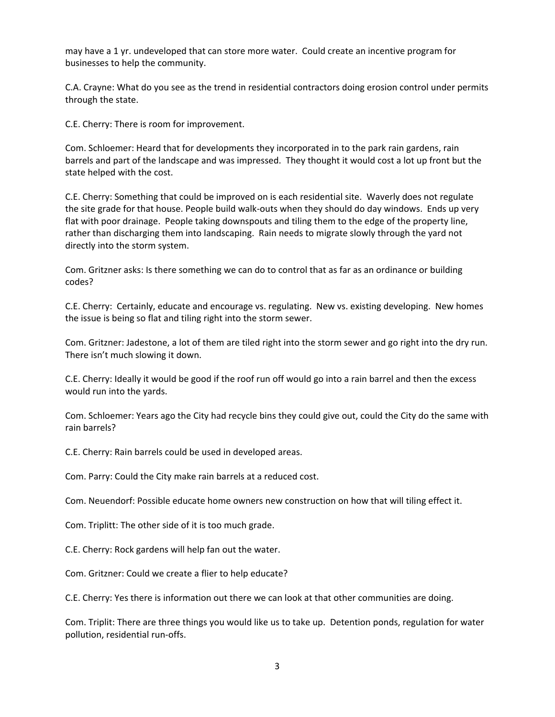may have a 1 yr. undeveloped that can store more water. Could create an incentive program for businesses to help the community.

C.A. Crayne: What do you see as the trend in residential contractors doing erosion control under permits through the state.

C.E. Cherry: There is room for improvement.

Com. Schloemer: Heard that for developments they incorporated in to the park rain gardens, rain barrels and part of the landscape and was impressed. They thought it would cost a lot up front but the state helped with the cost.

C.E. Cherry: Something that could be improved on is each residential site. Waverly does not regulate the site grade for that house. People build walk-outs when they should do day windows. Ends up very flat with poor drainage. People taking downspouts and tiling them to the edge of the property line, rather than discharging them into landscaping. Rain needs to migrate slowly through the yard not directly into the storm system.

Com. Gritzner asks: Is there something we can do to control that as far as an ordinance or building codes?

C.E. Cherry: Certainly, educate and encourage vs. regulating. New vs. existing developing. New homes the issue is being so flat and tiling right into the storm sewer.

Com. Gritzner: Jadestone, a lot of them are tiled right into the storm sewer and go right into the dry run. There isn't much slowing it down.

C.E. Cherry: Ideally it would be good if the roof run off would go into a rain barrel and then the excess would run into the yards.

Com. Schloemer: Years ago the City had recycle bins they could give out, could the City do the same with rain barrels?

C.E. Cherry: Rain barrels could be used in developed areas.

Com. Parry: Could the City make rain barrels at a reduced cost.

Com. Neuendorf: Possible educate home owners new construction on how that will tiling effect it.

Com. Triplitt: The other side of it is too much grade.

C.E. Cherry: Rock gardens will help fan out the water.

Com. Gritzner: Could we create a flier to help educate?

C.E. Cherry: Yes there is information out there we can look at that other communities are doing.

Com. Triplit: There are three things you would like us to take up. Detention ponds, regulation for water pollution, residential run‐offs.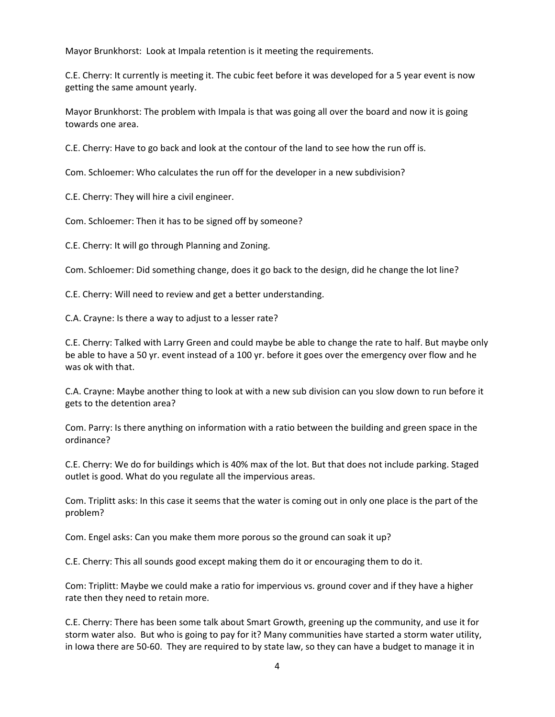Mayor Brunkhorst: Look at Impala retention is it meeting the requirements.

C.E. Cherry: It currently is meeting it. The cubic feet before it was developed for a 5 year event is now getting the same amount yearly.

Mayor Brunkhorst: The problem with Impala is that was going all over the board and now it is going towards one area.

C.E. Cherry: Have to go back and look at the contour of the land to see how the run off is.

Com. Schloemer: Who calculates the run off for the developer in a new subdivision?

C.E. Cherry: They will hire a civil engineer.

Com. Schloemer: Then it has to be signed off by someone?

C.E. Cherry: It will go through Planning and Zoning.

Com. Schloemer: Did something change, does it go back to the design, did he change the lot line?

C.E. Cherry: Will need to review and get a better understanding.

C.A. Crayne: Is there a way to adjust to a lesser rate?

C.E. Cherry: Talked with Larry Green and could maybe be able to change the rate to half. But maybe only be able to have a 50 yr. event instead of a 100 yr. before it goes over the emergency over flow and he was ok with that.

C.A. Crayne: Maybe another thing to look at with a new sub division can you slow down to run before it gets to the detention area?

Com. Parry: Is there anything on information with a ratio between the building and green space in the ordinance?

C.E. Cherry: We do for buildings which is 40% max of the lot. But that does not include parking. Staged outlet is good. What do you regulate all the impervious areas.

Com. Triplitt asks: In this case it seems that the water is coming out in only one place is the part of the problem?

Com. Engel asks: Can you make them more porous so the ground can soak it up?

C.E. Cherry: This all sounds good except making them do it or encouraging them to do it.

Com: Triplitt: Maybe we could make a ratio for impervious vs. ground cover and if they have a higher rate then they need to retain more.

C.E. Cherry: There has been some talk about Smart Growth, greening up the community, and use it for storm water also. But who is going to pay for it? Many communities have started a storm water utility, in Iowa there are 50‐60. They are required to by state law, so they can have a budget to manage it in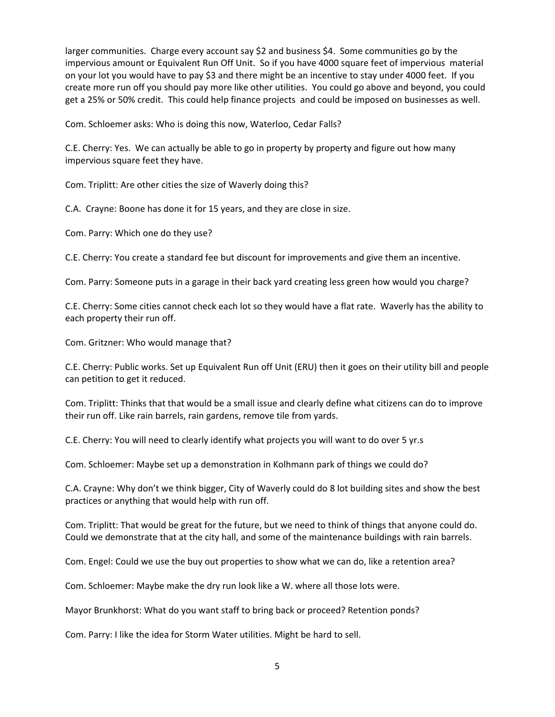larger communities. Charge every account say \$2 and business \$4. Some communities go by the impervious amount or Equivalent Run Off Unit. So if you have 4000 square feet of impervious material on your lot you would have to pay \$3 and there might be an incentive to stay under 4000 feet. If you create more run off you should pay more like other utilities. You could go above and beyond, you could get a 25% or 50% credit. This could help finance projects and could be imposed on businesses as well.

Com. Schloemer asks: Who is doing this now, Waterloo, Cedar Falls?

C.E. Cherry: Yes. We can actually be able to go in property by property and figure out how many impervious square feet they have.

Com. Triplitt: Are other cities the size of Waverly doing this?

C.A. Crayne: Boone has done it for 15 years, and they are close in size.

Com. Parry: Which one do they use?

C.E. Cherry: You create a standard fee but discount for improvements and give them an incentive.

Com. Parry: Someone puts in a garage in their back yard creating less green how would you charge?

C.E. Cherry: Some cities cannot check each lot so they would have a flat rate. Waverly has the ability to each property their run off.

Com. Gritzner: Who would manage that?

C.E. Cherry: Public works. Set up Equivalent Run off Unit (ERU) then it goes on their utility bill and people can petition to get it reduced.

Com. Triplitt: Thinks that that would be a small issue and clearly define what citizens can do to improve their run off. Like rain barrels, rain gardens, remove tile from yards.

C.E. Cherry: You will need to clearly identify what projects you will want to do over 5 yr.s

Com. Schloemer: Maybe set up a demonstration in Kolhmann park of things we could do?

C.A. Crayne: Why don't we think bigger, City of Waverly could do 8 lot building sites and show the best practices or anything that would help with run off.

Com. Triplitt: That would be great for the future, but we need to think of things that anyone could do. Could we demonstrate that at the city hall, and some of the maintenance buildings with rain barrels.

Com. Engel: Could we use the buy out properties to show what we can do, like a retention area?

Com. Schloemer: Maybe make the dry run look like a W. where all those lots were.

Mayor Brunkhorst: What do you want staff to bring back or proceed? Retention ponds?

Com. Parry: I like the idea for Storm Water utilities. Might be hard to sell.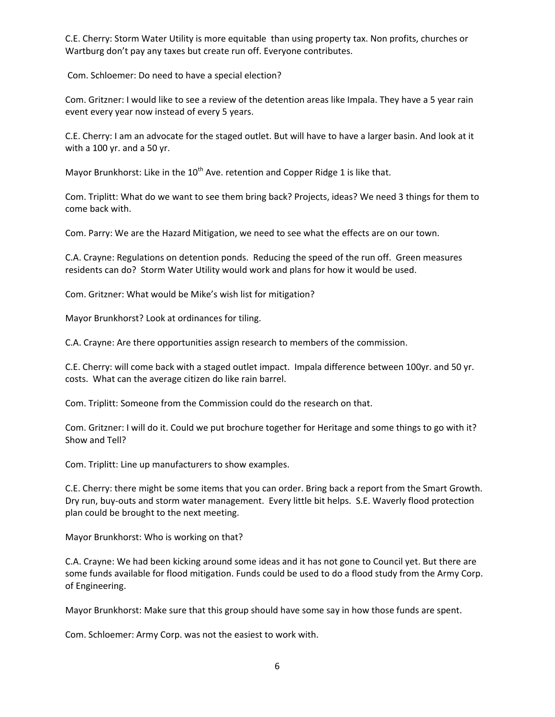C.E. Cherry: Storm Water Utility is more equitable than using property tax. Non profits, churches or Wartburg don't pay any taxes but create run off. Everyone contributes.

Com. Schloemer: Do need to have a special election?

Com. Gritzner: I would like to see a review of the detention areas like Impala. They have a 5 year rain event every year now instead of every 5 years.

C.E. Cherry: I am an advocate for the staged outlet. But will have to have a larger basin. And look at it with a 100 yr. and a 50 yr.

Mayor Brunkhorst: Like in the  $10<sup>th</sup>$  Ave. retention and Copper Ridge 1 is like that.

Com. Triplitt: What do we want to see them bring back? Projects, ideas? We need 3 things for them to come back with.

Com. Parry: We are the Hazard Mitigation, we need to see what the effects are on our town.

C.A. Crayne: Regulations on detention ponds. Reducing the speed of the run off. Green measures residents can do? Storm Water Utility would work and plans for how it would be used.

Com. Gritzner: What would be Mike's wish list for mitigation?

Mayor Brunkhorst? Look at ordinances for tiling.

C.A. Crayne: Are there opportunities assign research to members of the commission.

C.E. Cherry: will come back with a staged outlet impact. Impala difference between 100yr. and 50 yr. costs. What can the average citizen do like rain barrel.

Com. Triplitt: Someone from the Commission could do the research on that.

Com. Gritzner: I will do it. Could we put brochure together for Heritage and some things to go with it? Show and Tell?

Com. Triplitt: Line up manufacturers to show examples.

C.E. Cherry: there might be some items that you can order. Bring back a report from the Smart Growth. Dry run, buy‐outs and storm water management. Every little bit helps. S.E. Waverly flood protection plan could be brought to the next meeting.

Mayor Brunkhorst: Who is working on that?

C.A. Crayne: We had been kicking around some ideas and it has not gone to Council yet. But there are some funds available for flood mitigation. Funds could be used to do a flood study from the Army Corp. of Engineering.

Mayor Brunkhorst: Make sure that this group should have some say in how those funds are spent.

Com. Schloemer: Army Corp. was not the easiest to work with.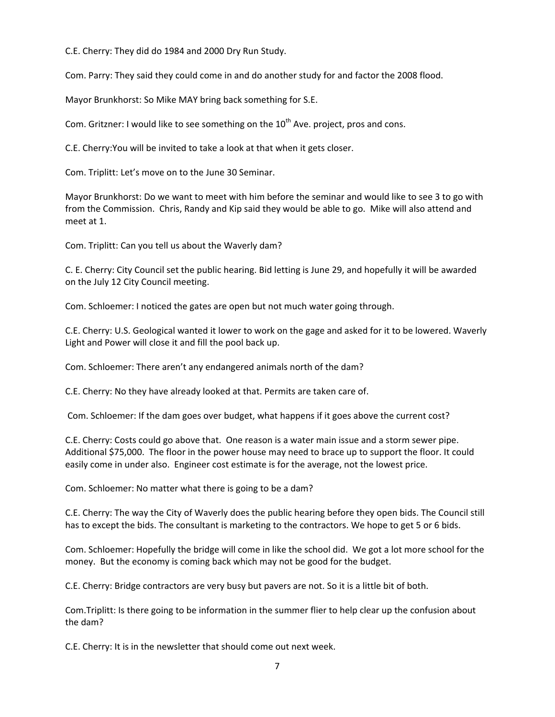C.E. Cherry: They did do 1984 and 2000 Dry Run Study.

Com. Parry: They said they could come in and do another study for and factor the 2008 flood.

Mayor Brunkhorst: So Mike MAY bring back something for S.E.

Com. Gritzner: I would like to see something on the  $10<sup>th</sup>$  Ave. project, pros and cons.

C.E. Cherry:You will be invited to take a look at that when it gets closer.

Com. Triplitt: Let's move on to the June 30 Seminar.

Mayor Brunkhorst: Do we want to meet with him before the seminar and would like to see 3 to go with from the Commission. Chris, Randy and Kip said they would be able to go. Mike will also attend and meet at 1.

Com. Triplitt: Can you tell us about the Waverly dam?

C. E. Cherry: City Council set the public hearing. Bid letting is June 29, and hopefully it will be awarded on the July 12 City Council meeting.

Com. Schloemer: I noticed the gates are open but not much water going through.

C.E. Cherry: U.S. Geological wanted it lower to work on the gage and asked for it to be lowered. Waverly Light and Power will close it and fill the pool back up.

Com. Schloemer: There aren't any endangered animals north of the dam?

C.E. Cherry: No they have already looked at that. Permits are taken care of.

Com. Schloemer: If the dam goes over budget, what happens if it goes above the current cost?

C.E. Cherry: Costs could go above that. One reason is a water main issue and a storm sewer pipe. Additional \$75,000. The floor in the power house may need to brace up to support the floor. It could easily come in under also. Engineer cost estimate is for the average, not the lowest price.

Com. Schloemer: No matter what there is going to be a dam?

C.E. Cherry: The way the City of Waverly does the public hearing before they open bids. The Council still has to except the bids. The consultant is marketing to the contractors. We hope to get 5 or 6 bids.

Com. Schloemer: Hopefully the bridge will come in like the school did. We got a lot more school for the money. But the economy is coming back which may not be good for the budget.

C.E. Cherry: Bridge contractors are very busy but pavers are not. So it is a little bit of both.

Com.Triplitt: Is there going to be information in the summer flier to help clear up the confusion about the dam?

C.E. Cherry: It is in the newsletter that should come out next week.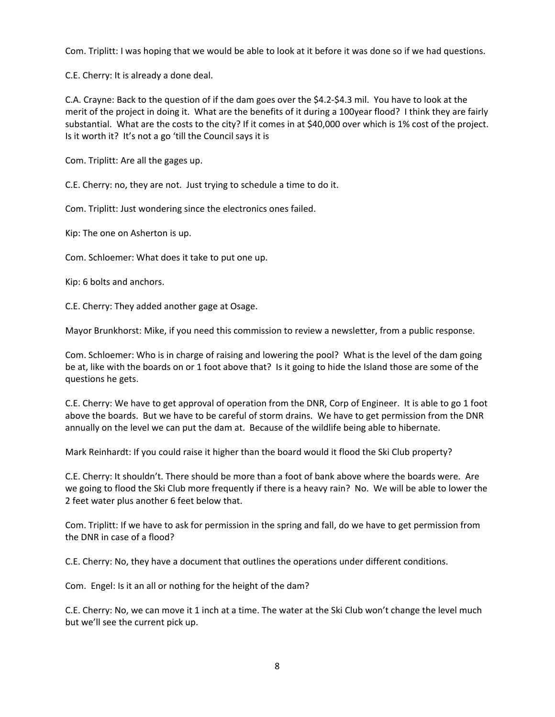Com. Triplitt: I was hoping that we would be able to look at it before it was done so if we had questions.

C.E. Cherry: It is already a done deal.

C.A. Crayne: Back to the question of if the dam goes over the \$4.2‐\$4.3 mil. You have to look at the merit of the project in doing it. What are the benefits of it during a 100year flood? I think they are fairly substantial. What are the costs to the city? If it comes in at \$40,000 over which is 1% cost of the project. Is it worth it? It's not a go 'till the Council says it is

Com. Triplitt: Are all the gages up.

C.E. Cherry: no, they are not. Just trying to schedule a time to do it.

Com. Triplitt: Just wondering since the electronics ones failed.

Kip: The one on Asherton is up.

Com. Schloemer: What does it take to put one up.

Kip: 6 bolts and anchors.

C.E. Cherry: They added another gage at Osage.

Mayor Brunkhorst: Mike, if you need this commission to review a newsletter, from a public response.

Com. Schloemer: Who is in charge of raising and lowering the pool? What is the level of the dam going be at, like with the boards on or 1 foot above that? Is it going to hide the Island those are some of the questions he gets.

C.E. Cherry: We have to get approval of operation from the DNR, Corp of Engineer. It is able to go 1 foot above the boards. But we have to be careful of storm drains. We have to get permission from the DNR annually on the level we can put the dam at. Because of the wildlife being able to hibernate.

Mark Reinhardt: If you could raise it higher than the board would it flood the Ski Club property?

C.E. Cherry: It shouldn't. There should be more than a foot of bank above where the boards were. Are we going to flood the Ski Club more frequently if there is a heavy rain? No. We will be able to lower the 2 feet water plus another 6 feet below that.

Com. Triplitt: If we have to ask for permission in the spring and fall, do we have to get permission from the DNR in case of a flood?

C.E. Cherry: No, they have a document that outlines the operations under different conditions.

Com. Engel: Is it an all or nothing for the height of the dam?

C.E. Cherry: No, we can move it 1 inch at a time. The water at the Ski Club won't change the level much but we'll see the current pick up.